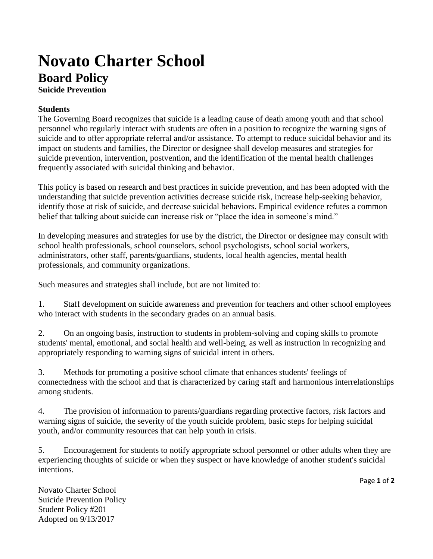## **Novato Charter School Board Policy**

**Suicide Prevention**

## **Students**

The Governing Board recognizes that suicide is a leading cause of death among youth and that school personnel who regularly interact with students are often in a position to recognize the warning signs of suicide and to offer appropriate referral and/or assistance. To attempt to reduce suicidal behavior and its impact on students and families, the Director or designee shall develop measures and strategies for suicide prevention, intervention, postvention, and the identification of the mental health challenges frequently associated with suicidal thinking and behavior.

This policy is based on research and best practices in suicide prevention, and has been adopted with the understanding that suicide prevention activities decrease suicide risk, increase help-seeking behavior, identify those at risk of suicide, and decrease suicidal behaviors. Empirical evidence refutes a common belief that talking about suicide can increase risk or "place the idea in someone's mind."

In developing measures and strategies for use by the district, the Director or designee may consult with school health professionals, school counselors, school psychologists, school social workers, administrators, other staff, parents/guardians, students, local health agencies, mental health professionals, and community organizations.

Such measures and strategies shall include, but are not limited to:

1. Staff development on suicide awareness and prevention for teachers and other school employees who interact with students in the secondary grades on an annual basis.

2. On an ongoing basis, instruction to students in problem-solving and coping skills to promote students' mental, emotional, and social health and well-being, as well as instruction in recognizing and appropriately responding to warning signs of suicidal intent in others.

3. Methods for promoting a positive school climate that enhances students' feelings of connectedness with the school and that is characterized by caring staff and harmonious interrelationships among students.

4. The provision of information to parents/guardians regarding protective factors, risk factors and warning signs of suicide, the severity of the youth suicide problem, basic steps for helping suicidal youth, and/or community resources that can help youth in crisis.

5. Encouragement for students to notify appropriate school personnel or other adults when they are experiencing thoughts of suicide or when they suspect or have knowledge of another student's suicidal intentions.

Page **1** of **2**

Novato Charter School Suicide Prevention Policy Student Policy #201 Adopted on 9/13/2017